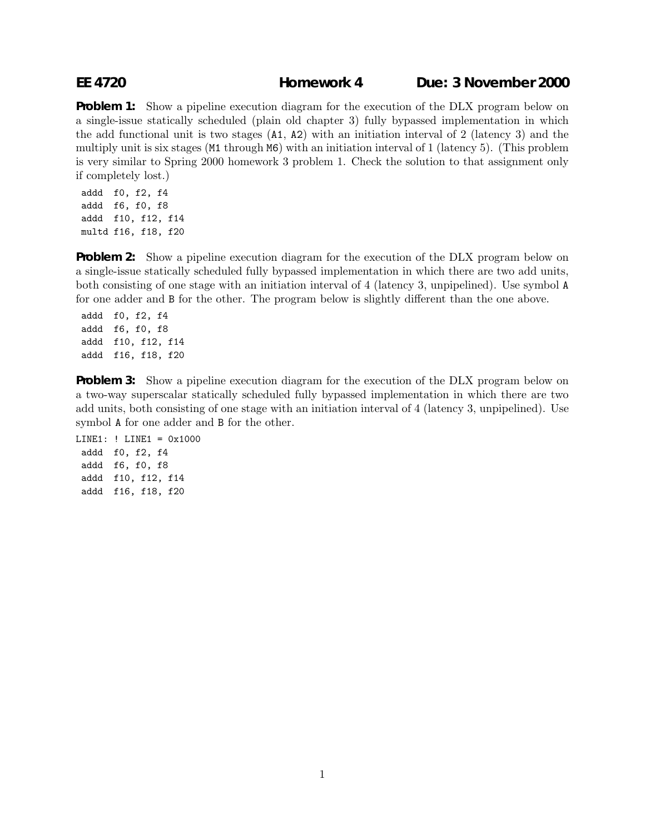## **EE 4720 Homework 4 Due: 3 November 2000**

**Problem 1:** Show a pipeline execution diagram for the execution of the DLX program below on a single-issue statically scheduled (plain old chapter 3) fully bypassed implementation in which the add functional unit is two stages (A1, A2) with an initiation interval of 2 (latency 3) and the multiply unit is six stages (M1 through M6) with an initiation interval of 1 (latency 5). (This problem is very similar to Spring 2000 homework 3 problem 1. Check the solution to that assignment only if completely lost.)

addd f0, f2, f4 addd f6, f0, f8 addd f10, f12, f14 multd f16, f18, f20

**Problem 2:** Show a pipeline execution diagram for the execution of the DLX program below on a single-issue statically scheduled fully bypassed implementation in which there are two add units, both consisting of one stage with an initiation interval of 4 (latency 3, unpipelined). Use symbol A for one adder and B for the other. The program below is slightly different than the one above.

addd f0, f2, f4 addd f6, f0, f8 addd f10, f12, f14 addd f16, f18, f20

**Problem 3:** Show a pipeline execution diagram for the execution of the DLX program below on a two-way superscalar statically scheduled fully bypassed implementation in which there are two add units, both consisting of one stage with an initiation interval of 4 (latency 3, unpipelined). Use symbol A for one adder and B for the other.

LINE1: ! LINE1 = 0x1000 addd f0, f2, f4 addd f6, f0, f8 addd f10, f12, f14 addd f16, f18, f20